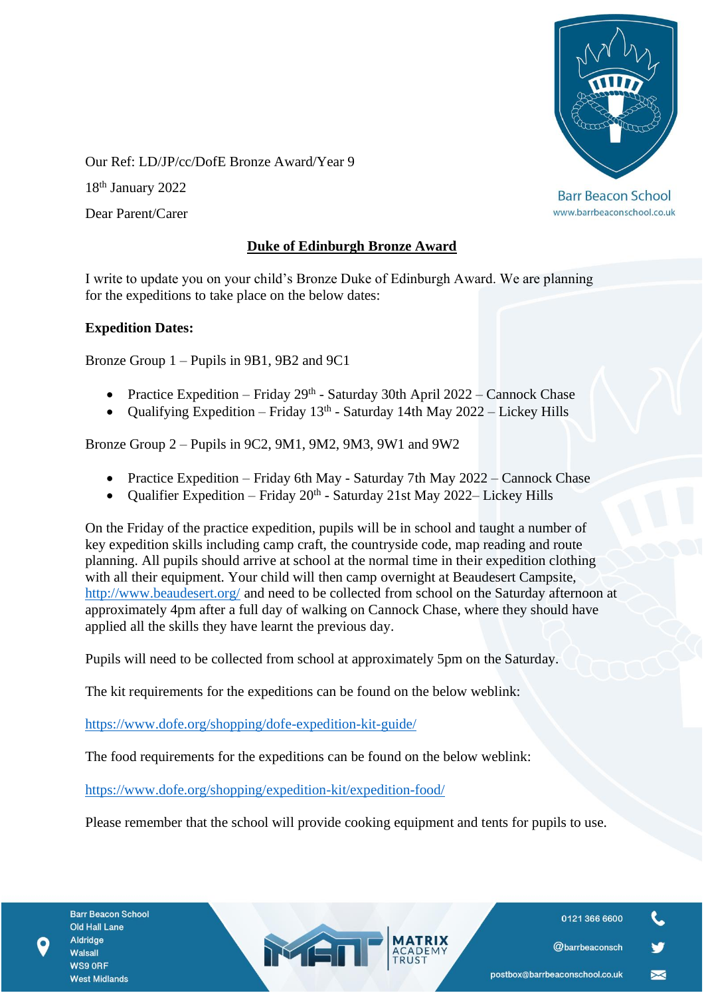

www.barrbeaconschool.co.uk

Our Ref: LD/JP/cc/DofE Bronze Award/Year 9

18th January 2022

Dear Parent/Carer

## **Duke of Edinburgh Bronze Award**

I write to update you on your child's Bronze Duke of Edinburgh Award. We are planning for the expeditions to take place on the below dates:

## **Expedition Dates:**

Bronze Group 1 – Pupils in 9B1, 9B2 and 9C1

- Practice Expedition Friday  $29<sup>th</sup>$  Saturday 30th April 2022 Cannock Chase
- Qualifying Expedition Friday  $13<sup>th</sup>$  Saturday 14th May 2022 Lickey Hills

Bronze Group 2 – Pupils in 9C2, 9M1, 9M2, 9M3, 9W1 and 9W2

- Practice Expedition Friday 6th May Saturday 7th May 2022 Cannock Chase
- Qualifier Expedition Friday  $20^{th}$  Saturday 21st May 2022– Lickey Hills

On the Friday of the practice expedition, pupils will be in school and taught a number of key expedition skills including camp craft, the countryside code, map reading and route planning. All pupils should arrive at school at the normal time in their expedition clothing with all their equipment. Your child will then camp overnight at Beaudesert Campsite, <http://www.beaudesert.org/> and need to be collected from school on the Saturday afternoon at approximately 4pm after a full day of walking on Cannock Chase, where they should have applied all the skills they have learnt the previous day.

Pupils will need to be collected from school at approximately 5pm on the Saturday.

The kit requirements for the expeditions can be found on the below weblink:

<https://www.dofe.org/shopping/dofe-expedition-kit-guide/>

The food requirements for the expeditions can be found on the below weblink:

MEN

<https://www.dofe.org/shopping/expedition-kit/expedition-food/>

Please remember that the school will provide cooking equipment and tents for pupils to use.

0121 366 6600

@barrbeaconsch

 $\blacktriangleright$